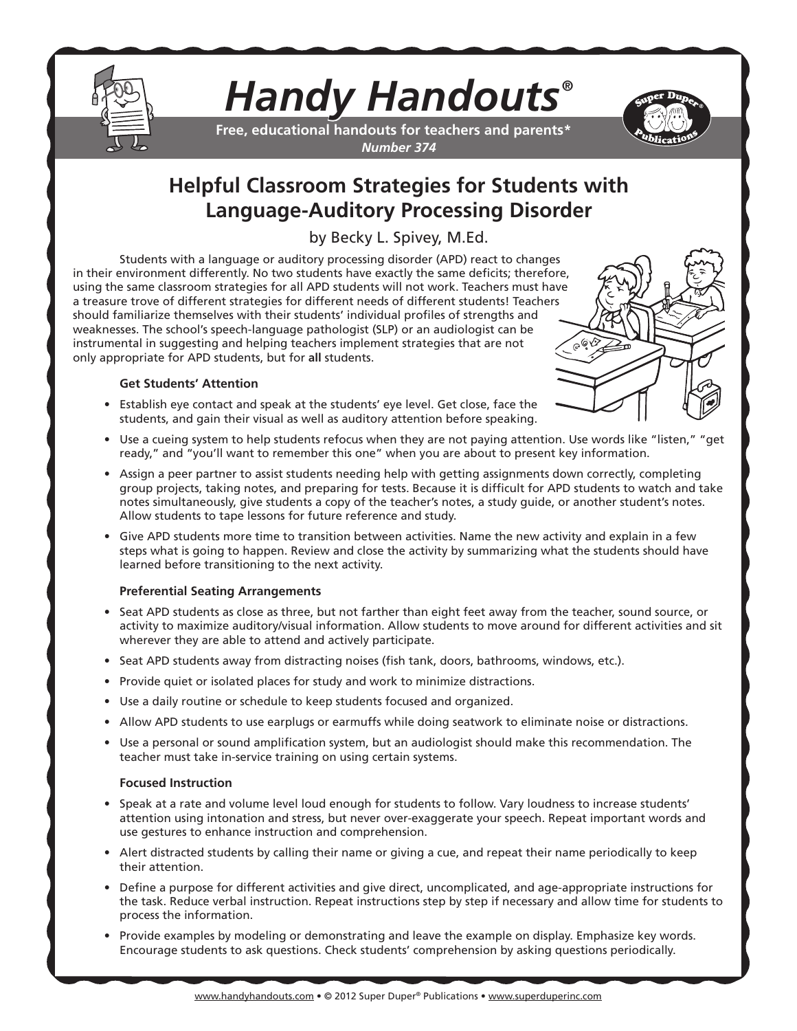

# *Handy Handouts®*

**Free, educational handouts for teachers and parents\*** *Number 374*



# **Helpful Classroom Strategies for Students with Language-Auditory Processing Disorder**

by Becky L. Spivey, M.Ed.

Students with a language or auditory processing disorder (APD) react to changes in their environment differently. No two students have exactly the same deficits; therefore, using the same classroom strategies for all APD students will not work. Teachers must have a treasure trove of different strategies for different needs of different students! Teachers should familiarize themselves with their students' individual profiles of strengths and weaknesses. The school's speech-language pathologist (SLP) or an audiologist can be instrumental in suggesting and helping teachers implement strategies that are not only appropriate for APD students, but for **all** students.



- Establish eye contact and speak at the students' eye level. Get close, face the students, and gain their visual as well as auditory attention before speaking.
- Use a cueing system to help students refocus when they are not paying attention. Use words like "listen," "get ready," and "you'll want to remember this one" when you are about to present key information.
- Assign a peer partner to assist students needing help with getting assignments down correctly, completing group projects, taking notes, and preparing for tests. Because it is difficult for APD students to watch and take notes simultaneously, give students a copy of the teacher's notes, a study guide, or another student's notes. Allow students to tape lessons for future reference and study.
- Give APD students more time to transition between activities. Name the new activity and explain in a few steps what is going to happen. Review and close the activity by summarizing what the students should have learned before transitioning to the next activity.

### **Preferential Seating Arrangements**

- Seat APD students as close as three, but not farther than eight feet away from the teacher, sound source, or activity to maximize auditory/visual information. Allow students to move around for different activities and sit wherever they are able to attend and actively participate.
- Seat APD students away from distracting noises (fish tank, doors, bathrooms, windows, etc.).
- Provide quiet or isolated places for study and work to minimize distractions.
- Use a daily routine or schedule to keep students focused and organized.
- Allow APD students to use earplugs or earmuffs while doing seatwork to eliminate noise or distractions.
- Use a personal or sound amplification system, but an audiologist should make this recommendation. The teacher must take in-service training on using certain systems.

#### **Focused Instruction**

- Speak at a rate and volume level loud enough for students to follow. Vary loudness to increase students' attention using intonation and stress, but never over-exaggerate your speech. Repeat important words and use gestures to enhance instruction and comprehension.
- Alert distracted students by calling their name or giving a cue, and repeat their name periodically to keep their attention.
- Define a purpose for different activities and give direct, uncomplicated, and age-appropriate instructions for the task. Reduce verbal instruction. Repeat instructions step by step if necessary and allow time for students to process the information.
- Provide examples by modeling or demonstrating and leave the example on display. Emphasize key words. Encourage students to ask questions. Check students' comprehension by asking questions periodically.